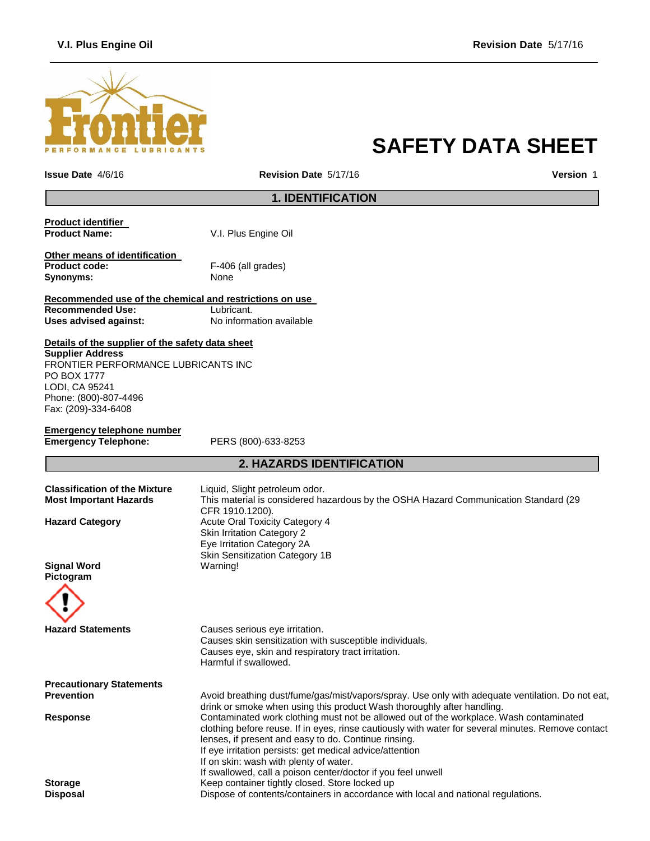

# **SAFETY DATA SHEET**

**Issue Date** 4/6/16 **Revision Date** 5/17/16 **Version** 1

#### **1. IDENTIFICATION**

| V.I. Plus Engine Oil |
|----------------------|
|                      |

**Other means of identification Product code:** F-406 (all grades) Synonyms: None

#### **Recommended use of the chemical and restrictions on use Recommended Use:**<br>Uses advised against: **Uses advised against:** No information available

**Details of the supplier of the safety data sheet Supplier Address**

FRONTIER PERFORMANCE LUBRICANTS INC PO BOX 1777 LODI, CA 95241 Phone: (800)-807-4496 Fax: (209)-334-6408

| Emergency telephone number  |
|-----------------------------|
| <b>Emergency Telephone:</b> |

**Emergency Telephone:** PERS (800)-633-8253

# **2. HAZARDS IDENTIFICATION**

| <b>Classification of the Mixture</b><br><b>Most Important Hazards</b> | Liquid, Slight petroleum odor.<br>This material is considered hazardous by the OSHA Hazard Communication Standard (29<br>CFR 1910.1200).                                                                                                                                                                                                                                                                                   |  |  |
|-----------------------------------------------------------------------|----------------------------------------------------------------------------------------------------------------------------------------------------------------------------------------------------------------------------------------------------------------------------------------------------------------------------------------------------------------------------------------------------------------------------|--|--|
| <b>Hazard Category</b>                                                | <b>Acute Oral Toxicity Category 4</b><br>Skin Irritation Category 2<br>Eye Irritation Category 2A<br>Skin Sensitization Category 1B                                                                                                                                                                                                                                                                                        |  |  |
| <b>Signal Word</b><br>Pictogram                                       | Warning!                                                                                                                                                                                                                                                                                                                                                                                                                   |  |  |
| <b>Hazard Statements</b>                                              | Causes serious eye irritation.<br>Causes skin sensitization with susceptible individuals.<br>Causes eye, skin and respiratory tract irritation.<br>Harmful if swallowed.                                                                                                                                                                                                                                                   |  |  |
| <b>Precautionary Statements</b>                                       |                                                                                                                                                                                                                                                                                                                                                                                                                            |  |  |
| <b>Prevention</b>                                                     | Avoid breathing dust/fume/gas/mist/vapors/spray. Use only with adequate ventilation. Do not eat,<br>drink or smoke when using this product Wash thoroughly after handling.                                                                                                                                                                                                                                                 |  |  |
| <b>Response</b>                                                       | Contaminated work clothing must not be allowed out of the workplace. Wash contaminated<br>clothing before reuse. If in eyes, rinse cautiously with water for several minutes. Remove contact<br>lenses, if present and easy to do. Continue rinsing.<br>If eye irritation persists: get medical advice/attention<br>If on skin: wash with plenty of water.<br>If swallowed, call a poison center/doctor if you feel unwell |  |  |
| <b>Storage</b>                                                        | Keep container tightly closed. Store locked up                                                                                                                                                                                                                                                                                                                                                                             |  |  |
| <b>Disposal</b>                                                       | Dispose of contents/containers in accordance with local and national regulations.                                                                                                                                                                                                                                                                                                                                          |  |  |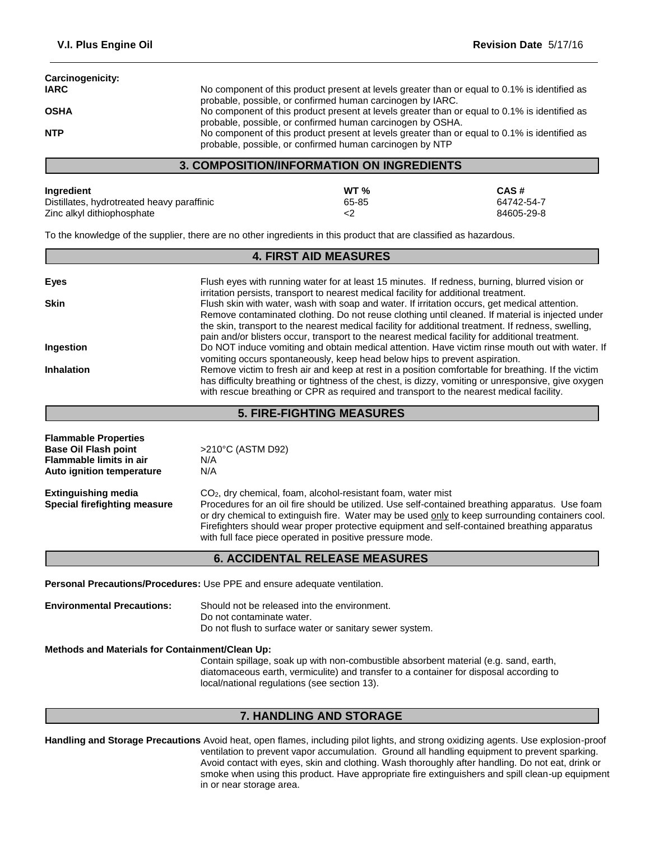| <b>Carcinogenicity:</b><br><b>IARC</b> | No component of this product present at levels greater than or equal to 0.1% is identified as<br>probable, possible, or confirmed human carcinogen by IARC. |
|----------------------------------------|-------------------------------------------------------------------------------------------------------------------------------------------------------------|
| <b>OSHA</b>                            | No component of this product present at levels greater than or equal to 0.1% is identified as<br>probable, possible, or confirmed human carcinogen by OSHA. |
| <b>NTP</b>                             | No component of this product present at levels greater than or equal to 0.1% is identified as<br>probable, possible, or confirmed human carcinogen by NTP   |

#### **3. COMPOSITION/INFORMATION ON INGREDIENTS**

| Ingredient                                 | WT <sub>%</sub> | CAS#       |
|--------------------------------------------|-----------------|------------|
| Distillates, hydrotreated heavy paraffinic | 65-85           | 64742-54-7 |
| Zinc alkyl dithiophosphate                 |                 | 84605-29-8 |

To the knowledge of the supplier, there are no other ingredients in this product that are classified as hazardous.

| <b>4. FIRST AID MEASURES</b> |                                                                                                     |  |
|------------------------------|-----------------------------------------------------------------------------------------------------|--|
|                              |                                                                                                     |  |
| Eyes                         | Flush eyes with running water for at least 15 minutes. If redness, burning, blurred vision or       |  |
|                              | irritation persists, transport to nearest medical facility for additional treatment.                |  |
| <b>Skin</b>                  | Flush skin with water, wash with soap and water. If irritation occurs, get medical attention.       |  |
|                              | Remove contaminated clothing. Do not reuse clothing until cleaned. If material is injected under    |  |
|                              | the skin, transport to the nearest medical facility for additional treatment. If redness, swelling, |  |
|                              | pain and/or blisters occur, transport to the nearest medical facility for additional treatment.     |  |
| Ingestion                    | Do NOT induce vomiting and obtain medical attention. Have victim rinse mouth out with water. If     |  |
|                              | vomiting occurs spontaneously, keep head below hips to prevent aspiration.                          |  |
| <b>Inhalation</b>            | Remove victim to fresh air and keep at rest in a position comfortable for breathing. If the victim  |  |
|                              | has difficulty breathing or tightness of the chest, is dizzy, vomiting or unresponsive, give oxygen |  |
|                              | with rescue breathing or CPR as required and transport to the nearest medical facility.             |  |

#### **5. FIRE-FIGHTING MEASURES**

| <b>Flammable Properties</b><br><b>Base Oil Flash point</b>        | >210°C (ASTM D92)                                                                                                                                                                                                                                                                                                                                                                                                                         |  |
|-------------------------------------------------------------------|-------------------------------------------------------------------------------------------------------------------------------------------------------------------------------------------------------------------------------------------------------------------------------------------------------------------------------------------------------------------------------------------------------------------------------------------|--|
| <b>Flammable limits in air</b><br>N/A                             |                                                                                                                                                                                                                                                                                                                                                                                                                                           |  |
|                                                                   |                                                                                                                                                                                                                                                                                                                                                                                                                                           |  |
| <b>Extinguishing media</b><br><b>Special firefighting measure</b> | CO <sub>2</sub> , dry chemical, foam, alcohol-resistant foam, water mist<br>Procedures for an oil fire should be utilized. Use self-contained breathing apparatus. Use foam<br>or dry chemical to extinguish fire. Water may be used only to keep surrounding containers cool.<br>Firefighters should wear proper protective equipment and self-contained breathing apparatus<br>with full face piece operated in positive pressure mode. |  |
|                                                                   | <b>6. ACCIDENTAL RELEASE MEASURES</b>                                                                                                                                                                                                                                                                                                                                                                                                     |  |

**Personal Precautions/Procedures:** Use PPE and ensure adequate ventilation.

**Environmental Precautions:** Should not be released into the environment. Do not contaminate water. Do not flush to surface water or sanitary sewer system.

**Methods and Materials for Containment/Clean Up:**

Contain spillage, soak up with non-combustible absorbent material (e.g. sand, earth, diatomaceous earth, vermiculite) and transfer to a container for disposal according to local/national regulations (see section 13).

#### **7. HANDLING AND STORAGE**

**Handling and Storage Precautions** Avoid heat, open flames, including pilot lights, and strong oxidizing agents. Use explosion-proof ventilation to prevent vapor accumulation. Ground all handling equipment to prevent sparking. Avoid contact with eyes, skin and clothing. Wash thoroughly after handling. Do not eat, drink or smoke when using this product. Have appropriate fire extinguishers and spill clean-up equipment in or near storage area.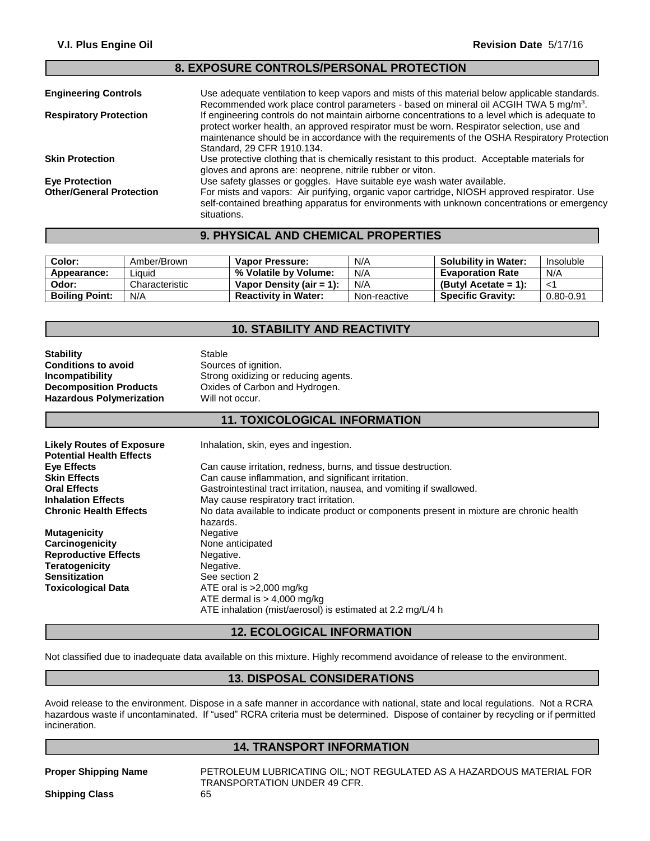#### **Engineering Controls** Use adequate ventilation to keep vapors and mists of this material below applicable standards. Recommended work place control parameters - based on mineral oil ACGIH TWA 5 mg/m<sup>3</sup>. **Respiratory Protection** If engineering controls do not maintain airborne concentrations to a level which is adequate to protect worker health, an approved respirator must be worn. Respirator selection, use and maintenance should be in accordance with the requirements of the OSHA Respiratory Protection Standard, 29 CFR 1910.134. **Skin Protection** Use protective clothing that is chemically resistant to this product. Acceptable materials for gloves and aprons are: neoprene, nitrile rubber or viton. **Eye Protection** Use safety glasses or goggles. Have suitable eye wash water available.<br> **Other/General Protection** For mists and vapors: Air purifying, organic vapor cartridge, NIOSH appro For mists and vapors: Air purifying, organic vapor cartridge, NIOSH approved respirator. Use self-contained breathing apparatus for environments with unknown concentrations or emergency situations. **8. EXPOSURE CONTROLS/PERSONAL PROTECTION**

#### **9. PHYSICAL AND CHEMICAL PROPERTIES**

| Color:                | Amber/Brown    | <b>Vapor Pressure:</b>      | N/A          | <b>Solubility in Water:</b> | Insoluble |
|-----------------------|----------------|-----------------------------|--------------|-----------------------------|-----------|
| Appearance:           | Liauid         | % Volatile by Volume:       | N/A          | <b>Evaporation Rate</b>     | N/A       |
| Odor:                 | Characteristic | Vapor Density (air = 1):    | N/A          | (Butyl Acetate = 1):        |           |
| <b>Boiling Point:</b> | N/A            | <b>Reactivity in Water:</b> | Non-reactive | <b>Specific Gravity:</b>    | 0.80-0.91 |

### **10. STABILITY AND REACTIVITY**

| Stability                       | Stable                               |
|---------------------------------|--------------------------------------|
| Conditions to avoid             | Sources of ignition.                 |
| Incompatibility                 | Strong oxidizing or reducing agents. |
| <b>Decomposition Products</b>   | Oxides of Carbon and Hydrogen.       |
| <b>Hazardous Polymerization</b> | Will not occur.                      |
|                                 |                                      |

#### **11. TOXICOLOGICAL INFORMATION**

| <b>Likely Routes of Exposure</b><br><b>Potential Health Effects</b> | Inhalation, skin, eyes and ingestion.                                                                 |  |  |
|---------------------------------------------------------------------|-------------------------------------------------------------------------------------------------------|--|--|
| <b>Eye Effects</b>                                                  | Can cause irritation, redness, burns, and tissue destruction.                                         |  |  |
| <b>Skin Effects</b>                                                 | Can cause inflammation, and significant irritation.                                                   |  |  |
| <b>Oral Effects</b>                                                 | Gastrointestinal tract irritation, nausea, and vomiting if swallowed.                                 |  |  |
| <b>Inhalation Effects</b>                                           | May cause respiratory tract irritation.                                                               |  |  |
| <b>Chronic Health Effects</b>                                       | No data available to indicate product or components present in mixture are chronic health<br>hazards. |  |  |
| <b>Mutagenicity</b>                                                 | <b>Negative</b>                                                                                       |  |  |
| Carcinogenicity                                                     | None anticipated                                                                                      |  |  |
| <b>Reproductive Effects</b>                                         | Negative.                                                                                             |  |  |
| <b>Teratogenicity</b>                                               | Negative.                                                                                             |  |  |
| <b>Sensitization</b>                                                | See section 2                                                                                         |  |  |
| <b>Toxicological Data</b>                                           | ATE oral is $>2,000$ mg/kg                                                                            |  |  |
|                                                                     | ATE dermal is $> 4,000$ mg/kg                                                                         |  |  |
|                                                                     | ATE inhalation (mist/aerosol) is estimated at 2.2 mg/L/4 h                                            |  |  |

#### **12. ECOLOGICAL INFORMATION**

Not classified due to inadequate data available on this mixture. Highly recommend avoidance of release to the environment.

#### **13. DISPOSAL CONSIDERATIONS**

Avoid release to the environment. Dispose in a safe manner in accordance with national, state and local regulations. Not a RCRA hazardous waste if uncontaminated. If "used" RCRA criteria must be determined. Dispose of container by recycling or if permitted incineration.

#### **14. TRANSPORT INFORMATION**

**Proper Shipping Name** PETROLEUM LUBRICATING OIL; NOT REGULATED AS A HAZARDOUS MATERIAL FOR TRANSPORTATION UNDER 49 CFR.

**Shipping Class** 65